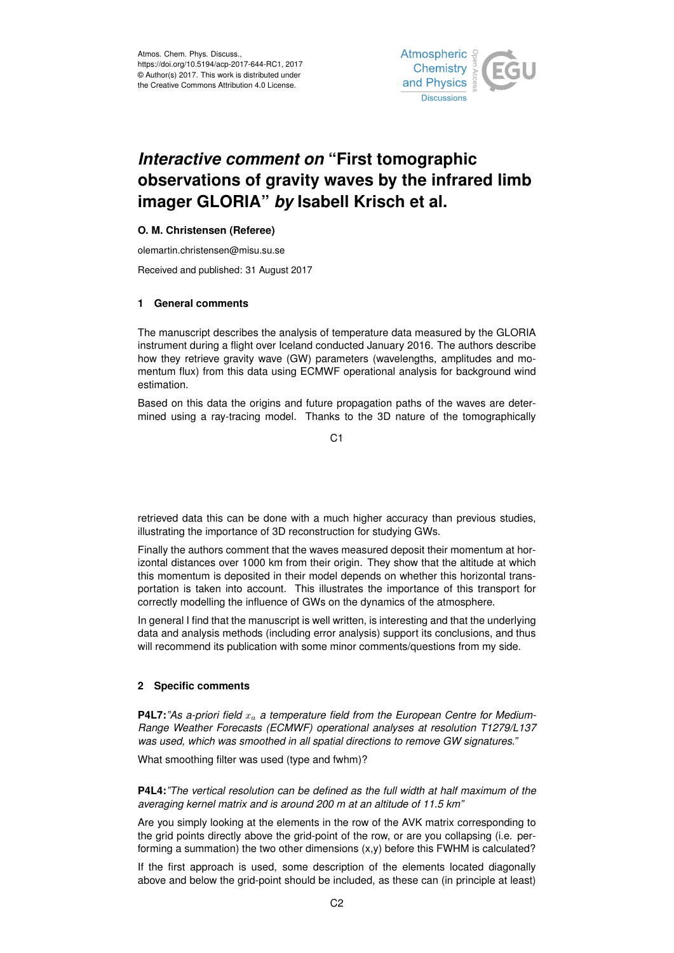

## *Interactive comment on* **"First tomographic observations of gravity waves by the infrared limb imager GLORIA"** *by* **Isabell Krisch et al.**

## **O. M. Christensen (Referee)**

olemartin.christensen@misu.su.se

Received and published: 31 August 2017

## **1 General comments**

The manuscript describes the analysis of temperature data measured by the GLORIA instrument during a flight over Iceland conducted January 2016. The authors describe how they retrieve gravity wave (GW) parameters (wavelengths, amplitudes and momentum flux) from this data using ECMWF operational analysis for background wind estimation.

Based on this data the origins and future propagation paths of the waves are determined using a ray-tracing model. Thanks to the 3D nature of the tomographically

 $C<sub>1</sub>$ 

retrieved data this can be done with a much higher accuracy than previous studies, illustrating the importance of 3D reconstruction for studying GWs.

Finally the authors comment that the waves measured deposit their momentum at horizontal distances over 1000 km from their origin. They show that the altitude at which this momentum is deposited in their model depends on whether this horizontal transportation is taken into account. This illustrates the importance of this transport for correctly modelling the influence of GWs on the dynamics of the atmosphere.

In general I find that the manuscript is well written, is interesting and that the underlying data and analysis methods (including error analysis) support its conclusions, and thus will recommend its publication with some minor comments/questions from my side.

## **2 Specific comments**

**P4L7:** "As a-priori field  $x_a$  a temperature field from the European Centre for Medium-*Range Weather Forecasts (ECMWF) operational analyses at resolution T1279/L137 was used, which was smoothed in all spatial directions to remove GW signatures."*

What smoothing filter was used (type and fwhm)?

**P4L4:***"The vertical resolution can be defined as the full width at half maximum of the averaging kernel matrix and is around 200 m at an altitude of 11.5 km"*

Are you simply looking at the elements in the row of the AVK matrix corresponding to the grid points directly above the grid-point of the row, or are you collapsing (i.e. performing a summation) the two other dimensions  $(x,y)$  before this FWHM is calculated?

If the first approach is used, some description of the elements located diagonally above and below the grid-point should be included, as these can (in principle at least)